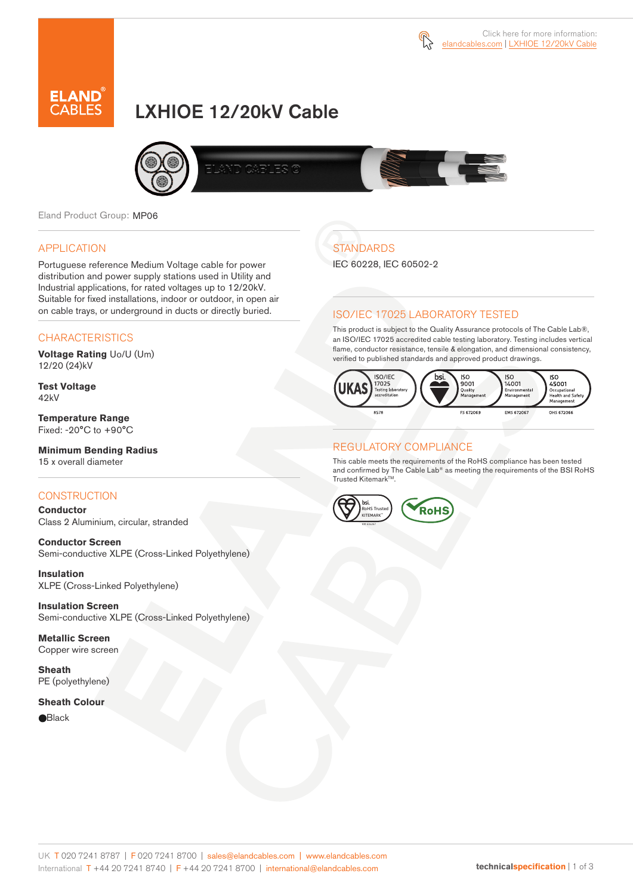



# LXHIOE 12/20kV Cable



Eland Product Group: MP06

#### APPLICATION

Portuguese reference Medium Voltage cable for power distribution and power supply stations used in Utility and Industrial applications, for rated voltages up to 12/20kV. Suitable for fixed installations, indoor or outdoor, in open air on cable trays, or underground in ducts or directly buried.

### **CHARACTERISTICS**

**Voltage Rating** Uo/U (Um) 12/20 (24)kV

**Test Voltage** 42kV

**Temperature Range** Fixed: -20°C to +90°C

#### **Minimum Bending Radius** 15 x overall diameter

### **CONSTRUCTION**

**Conductor**  Class 2 Aluminium, circular, stranded

**Conductor Screen** Semi-conductive XLPE (Cross-Linked Polyethylene)

**Insulation** XLPE (Cross-Linked Polyethylene)

**Insulation Screen** Semi-conductive XLPE (Cross-Linked Polyethylene)

**Metallic Screen** Copper wire screen

**Sheath** PE (polyethylene)

### **Sheath Colour**

**e**Black

## **STANDARDS**

IEC 60228, IEC 60502-2

### ISO/IEC 17025 LABORATORY TESTED

This product is subject to the Quality Assurance protocols of The Cable Lab®, an ISO/IEC 17025 accredited cable testing laboratory. Testing includes vertical flame, conductor resistance, tensile & elongation, and dimensional consistency, verified to published standards and approved product drawings.



#### REGULATORY COMPLIANCE

This cable meets the requirements of the RoHS compliance has been tested and confirmed by The Cable Lab® as meeting the requirements of the BSI RoHS Trusted Kitemark™.

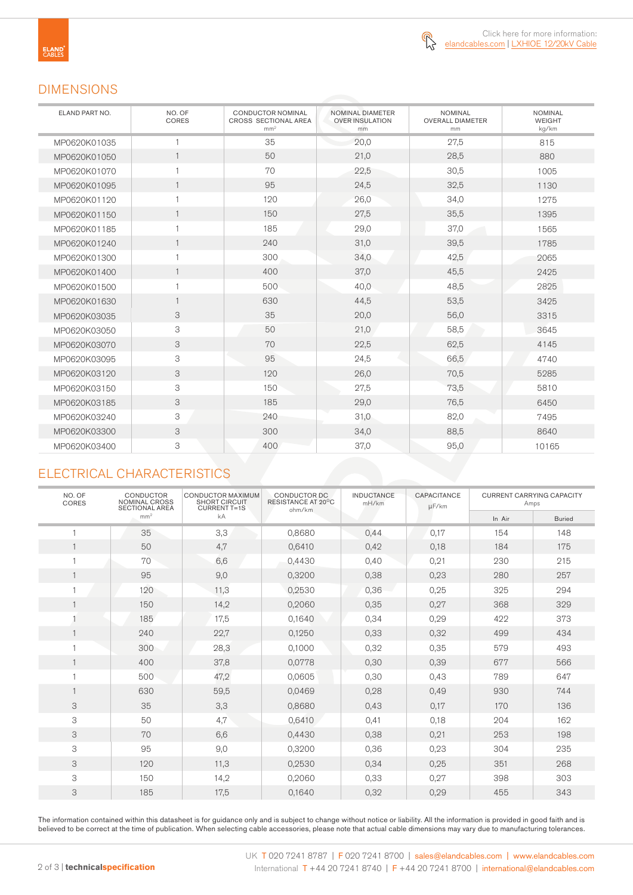### DIMENSIONS

| ELAND PART NO. | NO. OF<br>CORES | <b>CONDUCTOR NOMINAL</b><br>CROSS SECTIONAL AREA<br>mm <sup>2</sup> | NOMINAL DIAMETER<br><b>OVER INSULATION</b><br>mm | <b>NOMINAL</b><br><b>OVERALL DIAMETER</b><br>mm | <b>NOMINAL</b><br><b>WEIGHT</b><br>kg/km |
|----------------|-----------------|---------------------------------------------------------------------|--------------------------------------------------|-------------------------------------------------|------------------------------------------|
| MP0620K01035   | $\mathbf{1}$    | 35                                                                  | 20,0                                             | 27,5                                            | 815                                      |
| MP0620K01050   | $\mathbf{1}$    | 50                                                                  | 21,0                                             | 28,5                                            | 880                                      |
| MP0620K01070   | $\mathbf{1}$    | 70                                                                  | 22,5                                             | 30,5                                            | 1005                                     |
| MP0620K01095   | $\overline{1}$  | 95                                                                  | 24,5                                             | 32,5                                            | 1130                                     |
| MP0620K01120   | $\mathbf{1}$    | 120                                                                 | 26,0                                             | 34,0                                            | 1275                                     |
| MP0620K01150   | $\mathbf{1}$    | 150                                                                 | 27,5                                             | 35,5                                            | 1395                                     |
| MP0620K01185   | $\mathbf{1}$    | 185                                                                 | 29,0                                             | 37,0                                            | 1565                                     |
| MP0620K01240   | $\mathbf{1}$    | 240                                                                 | 31,0                                             | 39,5                                            | 1785                                     |
| MP0620K01300   | $\mathbf{1}$    | 300                                                                 | 34,0                                             | 42,5                                            | 2065                                     |
| MP0620K01400   | $\mathbf{1}$    | 400                                                                 | 37,0                                             | 45,5                                            | 2425                                     |
| MP0620K01500   | $\mathbf{1}$    | 500                                                                 | 40,0                                             | 48,5                                            | 2825                                     |
| MP0620K01630   | $\mathbf{1}$    | 630                                                                 | 44,5                                             | 53,5                                            | 3425                                     |
| MP0620K03035   | 3               | 35                                                                  | 20,0                                             | 56,0                                            | 3315                                     |
| MP0620K03050   | 3               | 50                                                                  | 21,0                                             | 58,5                                            | 3645                                     |
| MP0620K03070   | 3               | 70                                                                  | 22,5                                             | 62,5                                            | 4145                                     |
| MP0620K03095   | 3               | 95                                                                  | 24,5                                             | 66,5                                            | 4740                                     |
| MP0620K03120   | 3               | 120                                                                 | 26,0                                             | 70,5                                            | 5285                                     |
| MP0620K03150   | 3               | 150                                                                 | 27,5                                             | 73,5                                            | 5810                                     |
| MP0620K03185   | 3               | 185                                                                 | 29,0                                             | 76,5                                            | 6450                                     |
| MP0620K03240   | 3               | 240                                                                 | 31,0                                             | 82,0                                            | 7495                                     |
| MP0620K03300   | 3               | 300                                                                 | 34,0                                             | 88,5                                            | 8640                                     |
| MP0620K03400   | 3               | 400                                                                 | 37,0                                             | 95,0                                            | 10165                                    |

### ELECTRICAL CHARACTERISTICS

| NO. OF<br>CORES | <b>CONDUCTOR</b><br>NOMINAL CROSS<br><b>SECTIONAL AREA</b><br>mm <sup>2</sup> | <b>CONDUCTOR MAXIMUM</b><br>SHORT CIRCUIT<br><b>CURRENT T=1S</b><br>kA | CONDUCTOR DC<br>RESISTANCE AT 20°C<br>ohm/km | <b>INDUCTANCE</b><br>mH/km | CAPACITANCE<br>µF/km | <b>CURRENT CARRYING CAPACITY</b><br>Amps |               |
|-----------------|-------------------------------------------------------------------------------|------------------------------------------------------------------------|----------------------------------------------|----------------------------|----------------------|------------------------------------------|---------------|
|                 |                                                                               |                                                                        |                                              |                            |                      | In Air                                   | <b>Buried</b> |
|                 | 35                                                                            | 3,3                                                                    | 0,8680                                       | 0,44                       | 0,17                 | 154                                      | 148           |
|                 | 50                                                                            | 4,7                                                                    | 0,6410                                       | 0,42                       | 0,18                 | 184                                      | 175           |
|                 | 70                                                                            | 6,6                                                                    | 0,4430                                       | 0,40                       | 0,21                 | 230                                      | 215           |
|                 | 95                                                                            | 9,0                                                                    | 0,3200                                       | 0,38                       | 0,23                 | 280                                      | 257           |
|                 | 120                                                                           | 11,3                                                                   | 0,2530                                       | 0,36                       | 0,25                 | 325                                      | 294           |
|                 | 150                                                                           | 14,2                                                                   | 0,2060                                       | 0,35                       | 0,27                 | 368                                      | 329           |
|                 | 185                                                                           | 17,5                                                                   | 0,1640                                       | 0,34                       | 0,29                 | 422                                      | 373           |
|                 | 240                                                                           | 22,7                                                                   | 0,1250                                       | 0,33                       | 0,32                 | 499                                      | 434           |
|                 | 300                                                                           | 28,3                                                                   | 0,1000                                       | 0,32                       | 0,35                 | 579                                      | 493           |
|                 | 400                                                                           | 37,8                                                                   | 0,0778                                       | 0,30                       | 0,39                 | 677                                      | 566           |
|                 | 500                                                                           | 47,2                                                                   | 0,0605                                       | 0,30                       | 0,43                 | 789                                      | 647           |
|                 | 630                                                                           | 59,5                                                                   | 0,0469                                       | 0,28                       | 0,49                 | 930                                      | 744           |
| 3               | 35                                                                            | 3,3                                                                    | 0,8680                                       | 0,43                       | 0,17                 | 170                                      | 136           |
| 3               | 50                                                                            | 4,7                                                                    | 0,6410                                       | 0,41                       | 0,18                 | 204                                      | 162           |
| 3               | 70                                                                            | 6,6                                                                    | 0,4430                                       | 0,38                       | 0,21                 | 253                                      | 198           |
| 3               | 95                                                                            | 9,0                                                                    | 0,3200                                       | 0,36                       | 0,23                 | 304                                      | 235           |
| 3               | 120                                                                           | 11,3                                                                   | 0,2530                                       | 0,34                       | 0,25                 | 351                                      | 268           |
| 3               | 150                                                                           | 14,2                                                                   | 0,2060                                       | 0,33                       | 0,27                 | 398                                      | 303           |
| 3               | 185                                                                           | 17,5                                                                   | 0,1640                                       | 0,32                       | 0,29                 | 455                                      | 343           |

The information contained within this datasheet is for guidance only and is subject to change without notice or liability. All the information is provided in good faith and is believed to be correct at the time of publication. When selecting cable accessories, please note that actual cable dimensions may vary due to manufacturing tolerances.